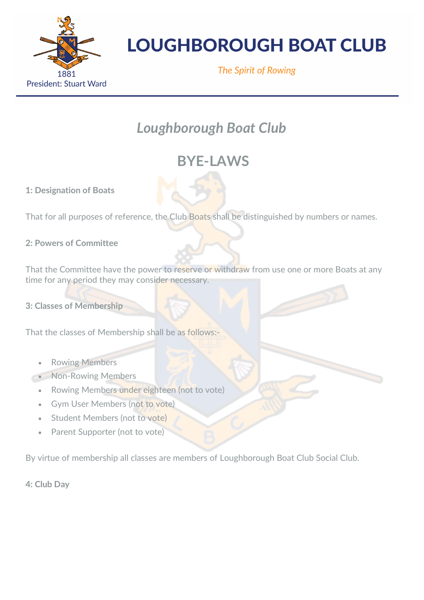

The Spirit of Rowing

### *Loughborough Boat Club*

### **BYE-LAWS**

**1: Designation of Boats**

That for all purposes of reference, the Club Boats shall be distinguished by numbers or names.

### **2: Powers of Committee**

That the Committee have the power to reserve or withdraw from use one or more Boats at any time for any period they may consider necessary.

**3: Classes of Membership**

That the classes of Membership shall be as follows:-

- **Rowing Members**
- Non-Rowing Members
	- Rowing Members under eighteen (not to vote)
	- Gym User Members (not to vote)
	- **Student Members (not to vote)**
	- Parent Supporter (not to vote)

By virtue of membership all classes are members of Loughborough Boat Club Social Club.

**4: Club Day**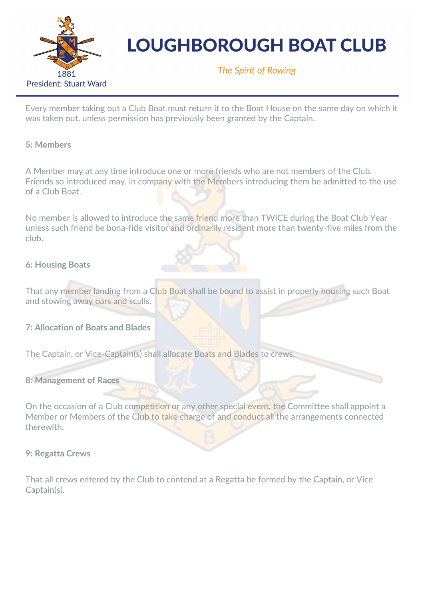

The Spirit of Rowing

Every member taking out a Club Boat must return it to the Boat House on the same day on which it was taken out, unless permission has previously been granted by the Captain.

#### **5: Members**

A Member may at any time introduce one or more friends who are not members of the Club. Friends so introduced may, in company with the Members introducing them be admitted to the use of a Club Boat.

No member is allowed to introduce the same friend more than TWICE during the Boat Club Year unless such friend be bona-fide visitor and ordinarily resident more than twenty-five miles from the club.

### **6: Housing Boats**

That any member landing from a Club Boat shall be bound to assist in properly housing such Boat and stowing away oars and sculls.

**7: Allocation of Boats and Blades**

The Captain, or Vice-Captain(s) shall allocate Boats and Blades to crews.

#### **8: Management of Races**

On the occasion of a Club competition or any other special event, the Committee shall appoint a Member or Members of the Club to take charge of and conduct all the arrangements connected therewith.

#### **9: Regatta Crews**

That all crews entered by the Club to contend at a Regatta be formed by the Captain, or Vice Captain(s).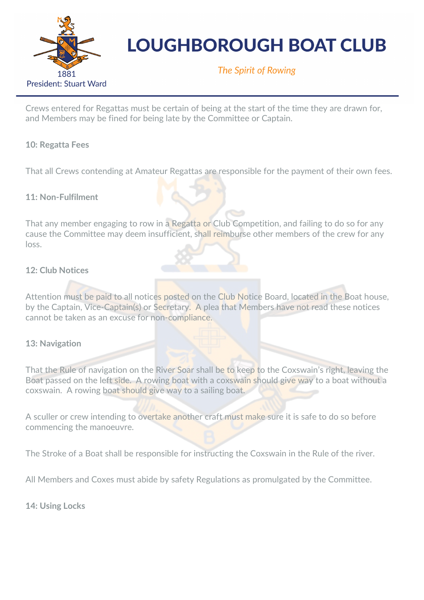

The Spirit of Rowing

Crews entered for Regattas must be certain of being at the start of the time they are drawn for, and Members may be fined for being late by the Committee or Captain.

### **10: Regatta Fees**

That all Crews contending at Amateur Regattas are responsible for the payment of their own fees.

### **11: Non-Fulfilment**

That any member engaging to row in a Regatta or Club Competition, and failing to do so for any cause the Committee may deem insufficient, shall reimburse other members of the crew for any loss.

### **12: Club Notices**

Attention must be paid to all notices posted on the Club Notice Board, located in the Boat house, by the Captain, Vice-Captain(s) or Secretary. A plea that Members have not read these notices cannot be taken as an excuse for non-compliance.

### **13: Navigation**

That the Rule of navigation on the River Soar shall be to keep to the Coxswain's right, leaving the Boat passed on the left side. A rowing boat with a coxswain should give way to a boat without a coxswain. A rowing boat should give way to a sailing boat.

A sculler or crew intending to overtake another craft must make sure it is safe to do so before commencing the manoeuvre.

The Stroke of a Boat shall be responsible for instructing the Coxswain in the Rule of the river.

All Members and Coxes must abide by safety Regulations as promulgated by the Committee.

**14: Using Locks**